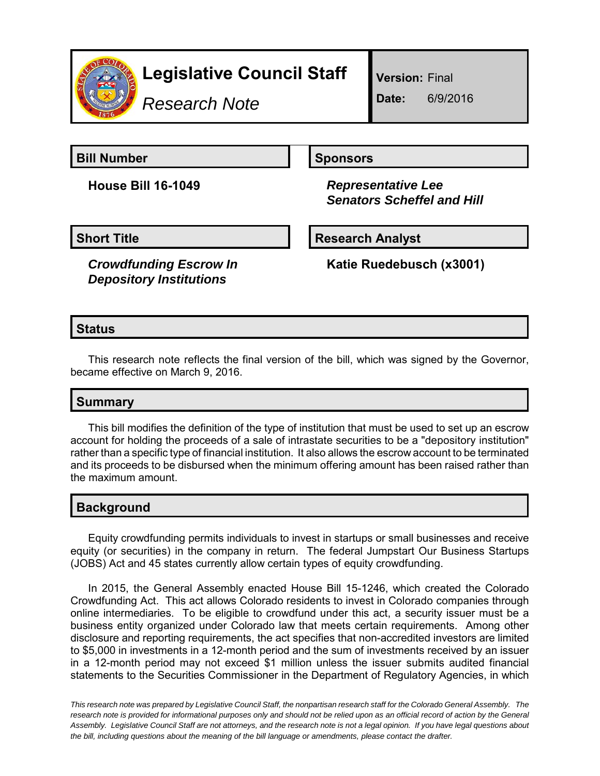

# **Legislative Council Staff**

*Research Note*

**Version:** Final

**Date:** 6/9/2016

**Bill Number Sponsors** 

**House Bill 16-1049** *Representative Lee Senators Scheffel and Hill*

**Short Title Community Community Community Research Analyst** 

*Crowdfunding Escrow In Depository Institutions*

**Katie Ruedebusch (x3001)**

## **Status**

This research note reflects the final version of the bill, which was signed by the Governor, became effective on March 9, 2016.

## **Summary**

This bill modifies the definition of the type of institution that must be used to set up an escrow account for holding the proceeds of a sale of intrastate securities to be a "depository institution" rather than a specific type of financial institution. It also allows the escrow account to be terminated and its proceeds to be disbursed when the minimum offering amount has been raised rather than the maximum amount.

#### **Background**

Equity crowdfunding permits individuals to invest in startups or small businesses and receive equity (or securities) in the company in return. The federal Jumpstart Our Business Startups (JOBS) Act and 45 states currently allow certain types of equity crowdfunding.

In 2015, the General Assembly enacted House Bill 15-1246, which created the Colorado Crowdfunding Act. This act allows Colorado residents to invest in Colorado companies through online intermediaries. To be eligible to crowdfund under this act, a security issuer must be a business entity organized under Colorado law that meets certain requirements. Among other disclosure and reporting requirements, the act specifies that non-accredited investors are limited to \$5,000 in investments in a 12-month period and the sum of investments received by an issuer in a 12-month period may not exceed \$1 million unless the issuer submits audited financial statements to the Securities Commissioner in the Department of Regulatory Agencies, in which

*This research note was prepared by Legislative Council Staff, the nonpartisan research staff for the Colorado General Assembly. The research note is provided for informational purposes only and should not be relied upon as an official record of action by the General Assembly. Legislative Council Staff are not attorneys, and the research note is not a legal opinion. If you have legal questions about the bill, including questions about the meaning of the bill language or amendments, please contact the drafter.*